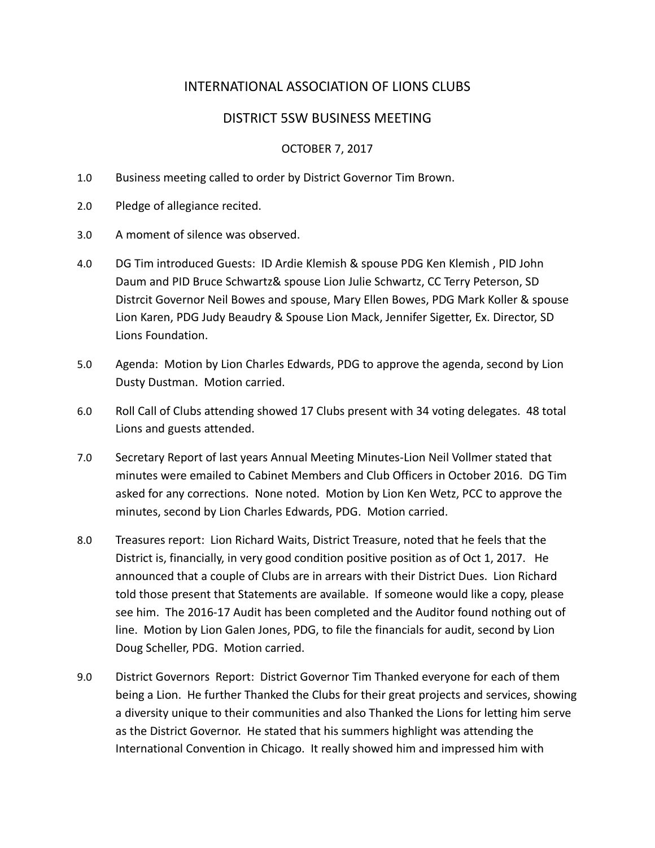# INTERNATIONAL ASSOCIATION OF LIONS CLUBS

## DISTRICT 5SW BUSINESS MEETING

### OCTOBER 7, 2017

- 1.0 Business meeting called to order by District Governor Tim Brown.
- 2.0 Pledge of allegiance recited.
- 3.0 A moment of silence was observed.
- 4.0 DG Tim introduced Guests: ID Ardie Klemish & spouse PDG Ken Klemish , PID John Daum and PID Bruce Schwartz& spouse Lion Julie Schwartz, CC Terry Peterson, SD Distrcit Governor Neil Bowes and spouse, Mary Ellen Bowes, PDG Mark Koller & spouse Lion Karen, PDG Judy Beaudry & Spouse Lion Mack, Jennifer Sigetter, Ex. Director, SD Lions Foundation.
- 5.0 Agenda: Motion by Lion Charles Edwards, PDG to approve the agenda, second by Lion Dusty Dustman. Motion carried.
- 6.0 Roll Call of Clubs attending showed 17 Clubs present with 34 voting delegates. 48 total Lions and guests attended.
- 7.0 Secretary Report of last years Annual Meeting Minutes-Lion Neil Vollmer stated that minutes were emailed to Cabinet Members and Club Officers in October 2016. DG Tim asked for any corrections. None noted. Motion by Lion Ken Wetz, PCC to approve the minutes, second by Lion Charles Edwards, PDG. Motion carried.
- 8.0 Treasures report: Lion Richard Waits, District Treasure, noted that he feels that the District is, financially, in very good condition positive position as of Oct 1, 2017. He announced that a couple of Clubs are in arrears with their District Dues. Lion Richard told those present that Statements are available. If someone would like a copy, please see him. The 2016-17 Audit has been completed and the Auditor found nothing out of line. Motion by Lion Galen Jones, PDG, to file the financials for audit, second by Lion Doug Scheller, PDG. Motion carried.
- 9.0 District Governors Report: District Governor Tim Thanked everyone for each of them being a Lion. He further Thanked the Clubs for their great projects and services, showing a diversity unique to their communities and also Thanked the Lions for letting him serve as the District Governor. He stated that his summers highlight was attending the International Convention in Chicago. It really showed him and impressed him with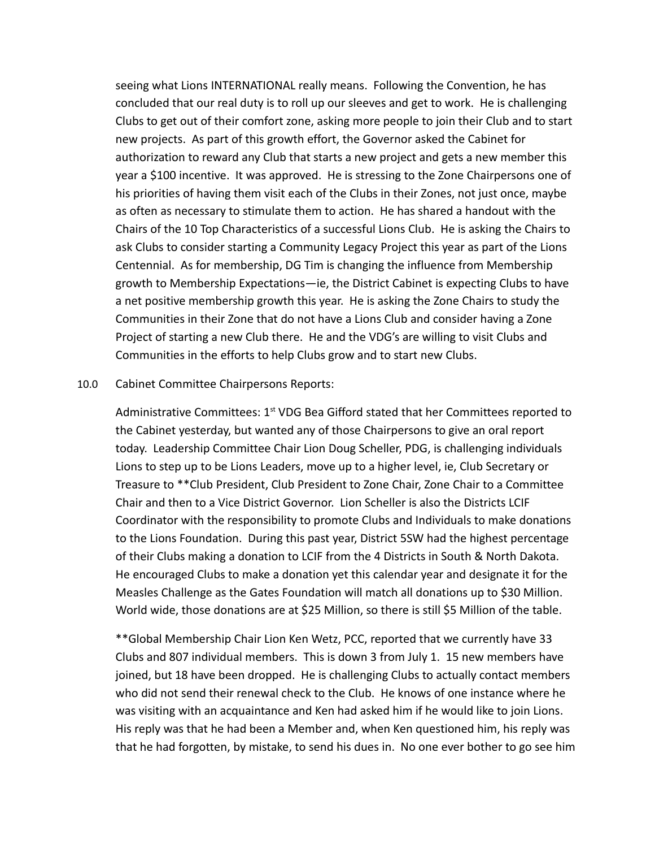seeing what Lions INTERNATIONAL really means. Following the Convention, he has concluded that our real duty is to roll up our sleeves and get to work. He is challenging Clubs to get out of their comfort zone, asking more people to join their Club and to start new projects. As part of this growth effort, the Governor asked the Cabinet for authorization to reward any Club that starts a new project and gets a new member this year a \$100 incentive. It was approved. He is stressing to the Zone Chairpersons one of his priorities of having them visit each of the Clubs in their Zones, not just once, maybe as often as necessary to stimulate them to action. He has shared a handout with the Chairs of the 10 Top Characteristics of a successful Lions Club. He is asking the Chairs to ask Clubs to consider starting a Community Legacy Project this year as part of the Lions Centennial. As for membership, DG Tim is changing the influence from Membership growth to Membership Expectations—ie, the District Cabinet is expecting Clubs to have a net positive membership growth this year. He is asking the Zone Chairs to study the Communities in their Zone that do not have a Lions Club and consider having a Zone Project of starting a new Club there. He and the VDG's are willing to visit Clubs and Communities in the efforts to help Clubs grow and to start new Clubs.

#### 10.0 Cabinet Committee Chairpersons Reports:

Administrative Committees:  $1<sup>st</sup>$  VDG Bea Gifford stated that her Committees reported to the Cabinet yesterday, but wanted any of those Chairpersons to give an oral report today. Leadership Committee Chair Lion Doug Scheller, PDG, is challenging individuals Lions to step up to be Lions Leaders, move up to a higher level, ie, Club Secretary or Treasure to \*\*Club President, Club President to Zone Chair, Zone Chair to a Committee Chair and then to a Vice District Governor. Lion Scheller is also the Districts LCIF Coordinator with the responsibility to promote Clubs and Individuals to make donations to the Lions Foundation. During this past year, District 5SW had the highest percentage of their Clubs making a donation to LCIF from the 4 Districts in South & North Dakota. He encouraged Clubs to make a donation yet this calendar year and designate it for the Measles Challenge as the Gates Foundation will match all donations up to \$30 Million. World wide, those donations are at \$25 Million, so there is still \$5 Million of the table.

\*\*Global Membership Chair Lion Ken Wetz, PCC, reported that we currently have 33 Clubs and 807 individual members. This is down 3 from July 1. 15 new members have joined, but 18 have been dropped. He is challenging Clubs to actually contact members who did not send their renewal check to the Club. He knows of one instance where he was visiting with an acquaintance and Ken had asked him if he would like to join Lions. His reply was that he had been a Member and, when Ken questioned him, his reply was that he had forgotten, by mistake, to send his dues in. No one ever bother to go see him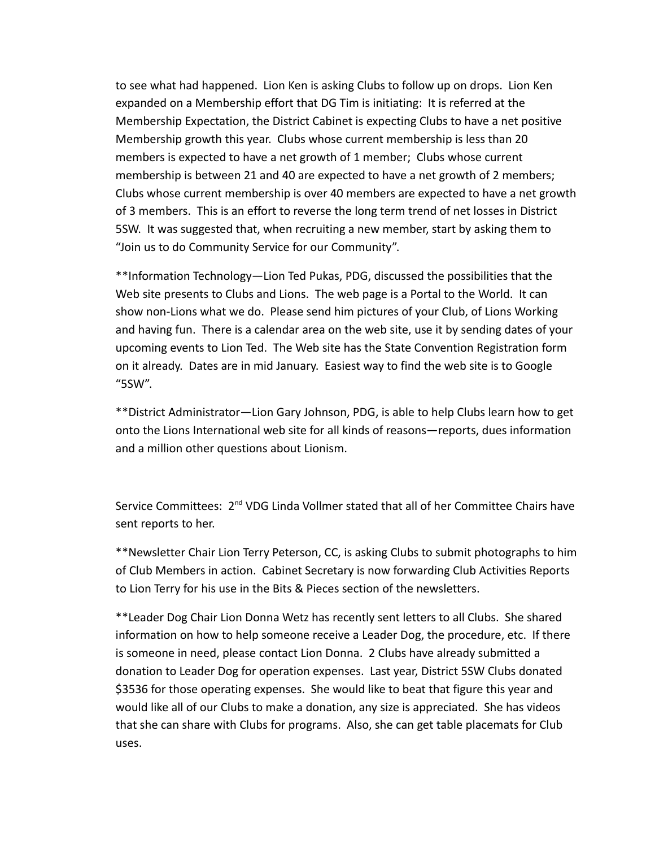to see what had happened. Lion Ken is asking Clubs to follow up on drops. Lion Ken expanded on a Membership effort that DG Tim is initiating: It is referred at the Membership Expectation, the District Cabinet is expecting Clubs to have a net positive Membership growth this year. Clubs whose current membership is less than 20 members is expected to have a net growth of 1 member; Clubs whose current membership is between 21 and 40 are expected to have a net growth of 2 members; Clubs whose current membership is over 40 members are expected to have a net growth of 3 members. This is an effort to reverse the long term trend of net losses in District 5SW. It was suggested that, when recruiting a new member, start by asking them to "Join us to do Community Service for our Community".

\*\*Information Technology—Lion Ted Pukas, PDG, discussed the possibilities that the Web site presents to Clubs and Lions. The web page is a Portal to the World. It can show non-Lions what we do. Please send him pictures of your Club, of Lions Working and having fun. There is a calendar area on the web site, use it by sending dates of your upcoming events to Lion Ted. The Web site has the State Convention Registration form on it already. Dates are in mid January. Easiest way to find the web site is to Google "5SW".

\*\*District Administrator—Lion Gary Johnson, PDG, is able to help Clubs learn how to get onto the Lions International web site for all kinds of reasons—reports, dues information and a million other questions about Lionism.

Service Committees: 2<sup>nd</sup> VDG Linda Vollmer stated that all of her Committee Chairs have sent reports to her.

\*\*Newsletter Chair Lion Terry Peterson, CC, is asking Clubs to submit photographs to him of Club Members in action. Cabinet Secretary is now forwarding Club Activities Reports to Lion Terry for his use in the Bits & Pieces section of the newsletters.

\*\*Leader Dog Chair Lion Donna Wetz has recently sent letters to all Clubs. She shared information on how to help someone receive a Leader Dog, the procedure, etc. If there is someone in need, please contact Lion Donna. 2 Clubs have already submitted a donation to Leader Dog for operation expenses. Last year, District 5SW Clubs donated \$3536 for those operating expenses. She would like to beat that figure this year and would like all of our Clubs to make a donation, any size is appreciated. She has videos that she can share with Clubs for programs. Also, she can get table placemats for Club uses.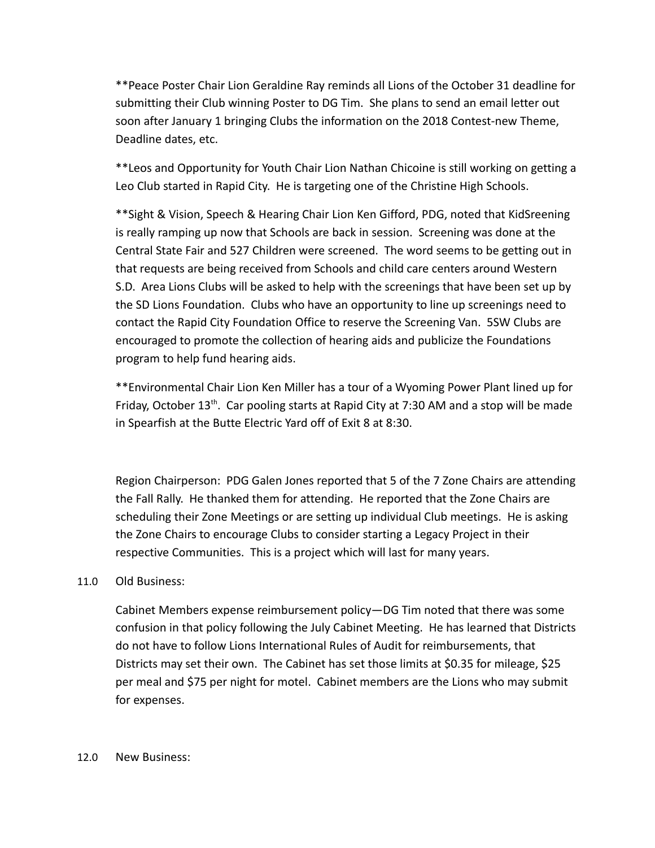\*\*Peace Poster Chair Lion Geraldine Ray reminds all Lions of the October 31 deadline for submitting their Club winning Poster to DG Tim. She plans to send an email letter out soon after January 1 bringing Clubs the information on the 2018 Contest-new Theme, Deadline dates, etc.

\*\*Leos and Opportunity for Youth Chair Lion Nathan Chicoine is still working on getting a Leo Club started in Rapid City. He is targeting one of the Christine High Schools.

\*\*Sight & Vision, Speech & Hearing Chair Lion Ken Gifford, PDG, noted that KidSreening is really ramping up now that Schools are back in session. Screening was done at the Central State Fair and 527 Children were screened. The word seems to be getting out in that requests are being received from Schools and child care centers around Western S.D. Area Lions Clubs will be asked to help with the screenings that have been set up by the SD Lions Foundation. Clubs who have an opportunity to line up screenings need to contact the Rapid City Foundation Office to reserve the Screening Van. 5SW Clubs are encouraged to promote the collection of hearing aids and publicize the Foundations program to help fund hearing aids.

\*\*Environmental Chair Lion Ken Miller has a tour of a Wyoming Power Plant lined up for Friday, October  $13<sup>th</sup>$ . Car pooling starts at Rapid City at 7:30 AM and a stop will be made in Spearfish at the Butte Electric Yard off of Exit 8 at 8:30.

Region Chairperson: PDG Galen Jones reported that 5 of the 7 Zone Chairs are attending the Fall Rally. He thanked them for attending. He reported that the Zone Chairs are scheduling their Zone Meetings or are setting up individual Club meetings. He is asking the Zone Chairs to encourage Clubs to consider starting a Legacy Project in their respective Communities. This is a project which will last for many years.

## 11.0 Old Business:

Cabinet Members expense reimbursement policy—DG Tim noted that there was some confusion in that policy following the July Cabinet Meeting. He has learned that Districts do not have to follow Lions International Rules of Audit for reimbursements, that Districts may set their own. The Cabinet has set those limits at \$0.35 for mileage, \$25 per meal and \$75 per night for motel. Cabinet members are the Lions who may submit for expenses.

#### 12.0 New Business: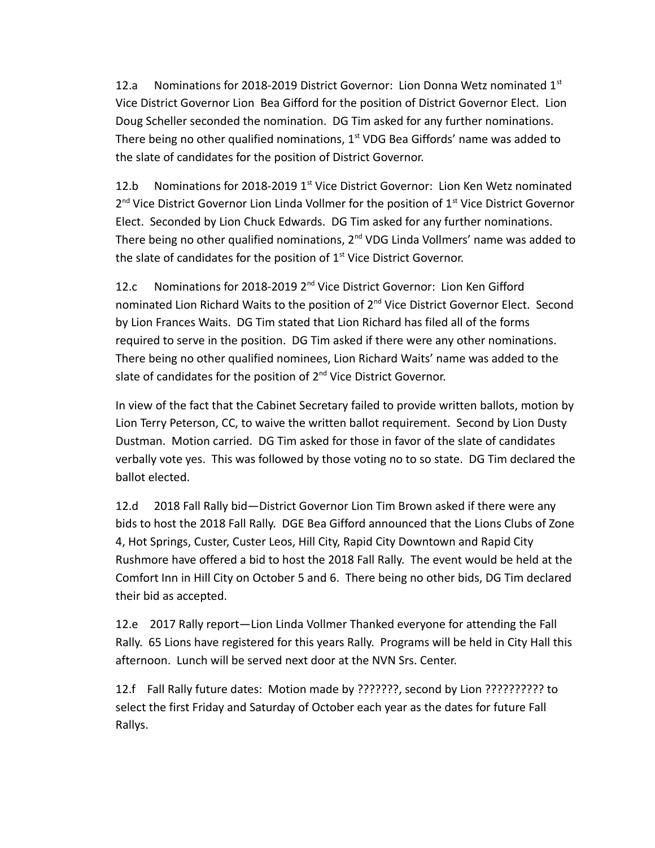12.a Nominations for 2018-2019 District Governor: Lion Donna Wetz nominated  $1<sup>st</sup>$ Vice District Governor Lion Bea Gifford for the position of District Governor Elect. Lion Doug Scheller seconded the nomination. DG Tim asked for any further nominations. There being no other qualified nominations,  $1<sup>st</sup>$  VDG Bea Giffords' name was added to the slate of candidates for the position of District Governor.

12.b Nominations for 2018-2019  $1<sup>st</sup>$  Vice District Governor: Lion Ken Wetz nominated 2<sup>nd</sup> Vice District Governor Lion Linda Vollmer for the position of 1<sup>st</sup> Vice District Governor Elect. Seconded by Lion Chuck Edwards. DG Tim asked for any further nominations. There being no other qualified nominations,  $2^{nd}$  VDG Linda Vollmers' name was added to the slate of candidates for the position of  $1<sup>st</sup>$  Vice District Governor.

12.c Nominations for 2018-2019 2<sup>nd</sup> Vice District Governor: Lion Ken Gifford nominated Lion Richard Waits to the position of 2<sup>nd</sup> Vice District Governor Elect. Second by Lion Frances Waits. DG Tim stated that Lion Richard has filed all of the forms required to serve in the position. DG Tim asked if there were any other nominations. There being no other qualified nominees, Lion Richard Waits' name was added to the slate of candidates for the position of  $2^{nd}$  Vice District Governor.

In view of the fact that the Cabinet Secretary failed to provide written ballots, motion by Lion Terry Peterson, CC, to waive the written ballot requirement. Second by Lion Dusty Dustman. Motion carried. DG Tim asked for those in favor of the slate of candidates verbally vote yes. This was followed by those voting no to so state. DG Tim declared the ballot elected.

12.d 2018 Fall Rally bid—District Governor Lion Tim Brown asked if there were any bids to host the 2018 Fall Rally. DGE Bea Gifford announced that the Lions Clubs of Zone 4, Hot Springs, Custer, Custer Leos, Hill City, Rapid City Downtown and Rapid City Rushmore have offered a bid to host the 2018 Fall Rally. The event would be held at the Comfort Inn in Hill City on October 5 and 6. There being no other bids, DG Tim declared their bid as accepted.

12.e 2017 Rally report—Lion Linda Vollmer Thanked everyone for attending the Fall Rally. 65 Lions have registered for this years Rally. Programs will be held in City Hall this afternoon. Lunch will be served next door at the NVN Srs. Center.

12.f Fall Rally future dates: Motion made by ???????, second by Lion ?????????? to select the first Friday and Saturday of October each year as the dates for future Fall Rallys.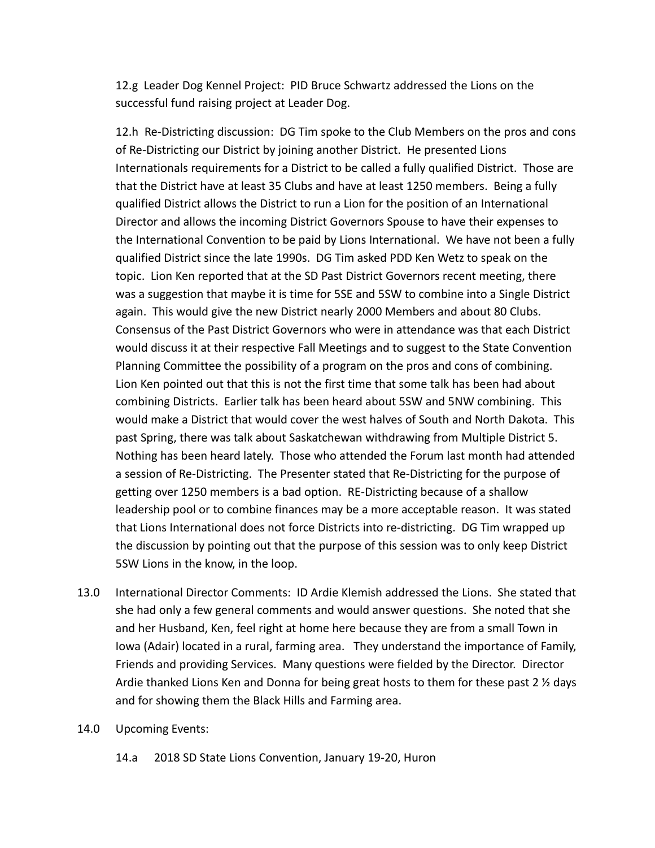12.g Leader Dog Kennel Project: PID Bruce Schwartz addressed the Lions on the successful fund raising project at Leader Dog.

12.h Re-Districting discussion: DG Tim spoke to the Club Members on the pros and cons of Re-Districting our District by joining another District. He presented Lions Internationals requirements for a District to be called a fully qualified District. Those are that the District have at least 35 Clubs and have at least 1250 members. Being a fully qualified District allows the District to run a Lion for the position of an International Director and allows the incoming District Governors Spouse to have their expenses to the International Convention to be paid by Lions International. We have not been a fully qualified District since the late 1990s. DG Tim asked PDD Ken Wetz to speak on the topic. Lion Ken reported that at the SD Past District Governors recent meeting, there was a suggestion that maybe it is time for 5SE and 5SW to combine into a Single District again. This would give the new District nearly 2000 Members and about 80 Clubs. Consensus of the Past District Governors who were in attendance was that each District would discuss it at their respective Fall Meetings and to suggest to the State Convention Planning Committee the possibility of a program on the pros and cons of combining. Lion Ken pointed out that this is not the first time that some talk has been had about combining Districts. Earlier talk has been heard about 5SW and 5NW combining. This would make a District that would cover the west halves of South and North Dakota. This past Spring, there was talk about Saskatchewan withdrawing from Multiple District 5. Nothing has been heard lately. Those who attended the Forum last month had attended a session of Re-Districting. The Presenter stated that Re-Districting for the purpose of getting over 1250 members is a bad option. RE-Districting because of a shallow leadership pool or to combine finances may be a more acceptable reason. It was stated that Lions International does not force Districts into re-districting. DG Tim wrapped up the discussion by pointing out that the purpose of this session was to only keep District 5SW Lions in the know, in the loop.

- 13.0 International Director Comments: ID Ardie Klemish addressed the Lions. She stated that she had only a few general comments and would answer questions. She noted that she and her Husband, Ken, feel right at home here because they are from a small Town in Iowa (Adair) located in a rural, farming area. They understand the importance of Family, Friends and providing Services. Many questions were fielded by the Director. Director Ardie thanked Lions Ken and Donna for being great hosts to them for these past 2 % days and for showing them the Black Hills and Farming area.
- 14.0 Upcoming Events:
	- 14.a 2018 SD State Lions Convention, January 19-20, Huron